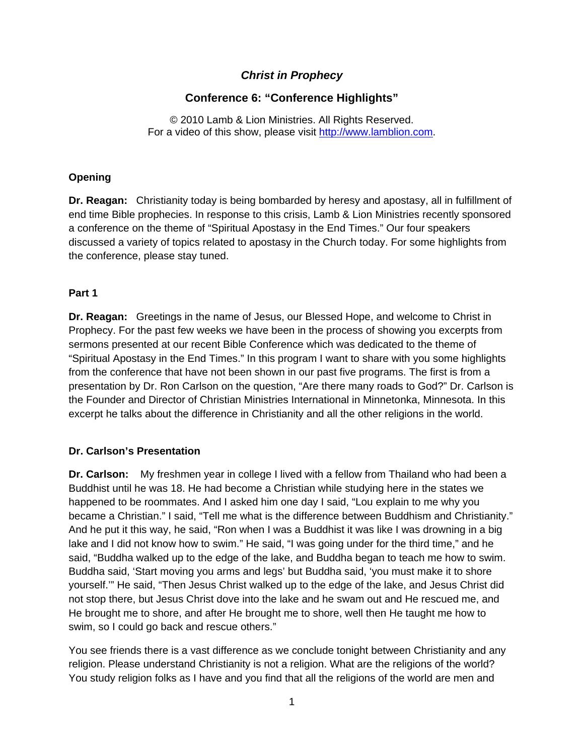## *Christ in Prophecy*

# **Conference 6: "Conference Highlights"**

© 2010 Lamb & Lion Ministries. All Rights Reserved. For a video of this show, please visit [http://www.lamblion.com.](http://www.lamblion.com/)

### **Opening**

**Dr. Reagan:** Christianity today is being bombarded by heresy and apostasy, all in fulfillment of end time Bible prophecies. In response to this crisis, Lamb & Lion Ministries recently sponsored a conference on the theme of "Spiritual Apostasy in the End Times." Our four speakers discussed a variety of topics related to apostasy in the Church today. For some highlights from the conference, please stay tuned.

### **Part 1**

**Dr. Reagan:** Greetings in the name of Jesus, our Blessed Hope, and welcome to Christ in Prophecy. For the past few weeks we have been in the process of showing you excerpts from sermons presented at our recent Bible Conference which was dedicated to the theme of "Spiritual Apostasy in the End Times." In this program I want to share with you some highlights from the conference that have not been shown in our past five programs. The first is from a presentation by Dr. Ron Carlson on the question, "Are there many roads to God?" Dr. Carlson is the Founder and Director of Christian Ministries International in Minnetonka, Minnesota. In this excerpt he talks about the difference in Christianity and all the other religions in the world.

## **Dr. Carlson's Presentation**

**Dr. Carlson:** My freshmen year in college I lived with a fellow from Thailand who had been a Buddhist until he was 18. He had become a Christian while studying here in the states we happened to be roommates. And I asked him one day I said, "Lou explain to me why you became a Christian." I said, "Tell me what is the difference between Buddhism and Christianity." And he put it this way, he said, "Ron when I was a Buddhist it was like I was drowning in a big lake and I did not know how to swim." He said, "I was going under for the third time," and he said, "Buddha walked up to the edge of the lake, and Buddha began to teach me how to swim. Buddha said, 'Start moving you arms and legs' but Buddha said, 'you must make it to shore yourself.'" He said, "Then Jesus Christ walked up to the edge of the lake, and Jesus Christ did not stop there, but Jesus Christ dove into the lake and he swam out and He rescued me, and He brought me to shore, and after He brought me to shore, well then He taught me how to swim, so I could go back and rescue others."

You see friends there is a vast difference as we conclude tonight between Christianity and any religion. Please understand Christianity is not a religion. What are the religions of the world? You study religion folks as I have and you find that all the religions of the world are men and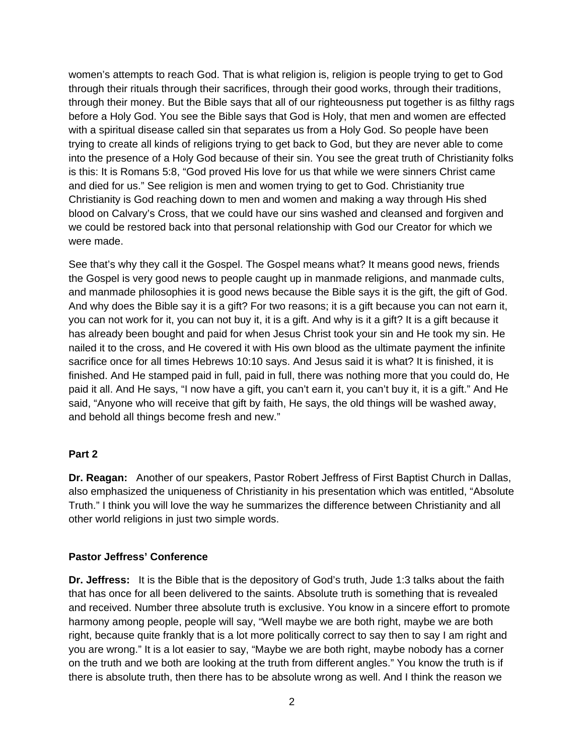women's attempts to reach God. That is what religion is, religion is people trying to get to God through their rituals through their sacrifices, through their good works, through their traditions, through their money. But the Bible says that all of our righteousness put together is as filthy rags before a Holy God. You see the Bible says that God is Holy, that men and women are effected with a spiritual disease called sin that separates us from a Holy God. So people have been trying to create all kinds of religions trying to get back to God, but they are never able to come into the presence of a Holy God because of their sin. You see the great truth of Christianity folks is this: It is Romans 5:8, "God proved His love for us that while we were sinners Christ came and died for us." See religion is men and women trying to get to God. Christianity true Christianity is God reaching down to men and women and making a way through His shed blood on Calvary's Cross, that we could have our sins washed and cleansed and forgiven and we could be restored back into that personal relationship with God our Creator for which we were made.

See that's why they call it the Gospel. The Gospel means what? It means good news, friends the Gospel is very good news to people caught up in manmade religions, and manmade cults, and manmade philosophies it is good news because the Bible says it is the gift, the gift of God. And why does the Bible say it is a gift? For two reasons; it is a gift because you can not earn it, you can not work for it, you can not buy it, it is a gift. And why is it a gift? It is a gift because it has already been bought and paid for when Jesus Christ took your sin and He took my sin. He nailed it to the cross, and He covered it with His own blood as the ultimate payment the infinite sacrifice once for all times Hebrews 10:10 says. And Jesus said it is what? It is finished, it is finished. And He stamped paid in full, paid in full, there was nothing more that you could do, He paid it all. And He says, "I now have a gift, you can't earn it, you can't buy it, it is a gift." And He said, "Anyone who will receive that gift by faith, He says, the old things will be washed away, and behold all things become fresh and new."

#### **Part 2**

**Dr. Reagan:** Another of our speakers, Pastor Robert Jeffress of First Baptist Church in Dallas, also emphasized the uniqueness of Christianity in his presentation which was entitled, "Absolute Truth." I think you will love the way he summarizes the difference between Christianity and all other world religions in just two simple words.

#### **Pastor Jeffress' Conference**

**Dr. Jeffress:** It is the Bible that is the depository of God's truth, Jude 1:3 talks about the faith that has once for all been delivered to the saints. Absolute truth is something that is revealed and received. Number three absolute truth is exclusive. You know in a sincere effort to promote harmony among people, people will say, "Well maybe we are both right, maybe we are both right, because quite frankly that is a lot more politically correct to say then to say I am right and you are wrong." It is a lot easier to say, "Maybe we are both right, maybe nobody has a corner on the truth and we both are looking at the truth from different angles." You know the truth is if there is absolute truth, then there has to be absolute wrong as well. And I think the reason we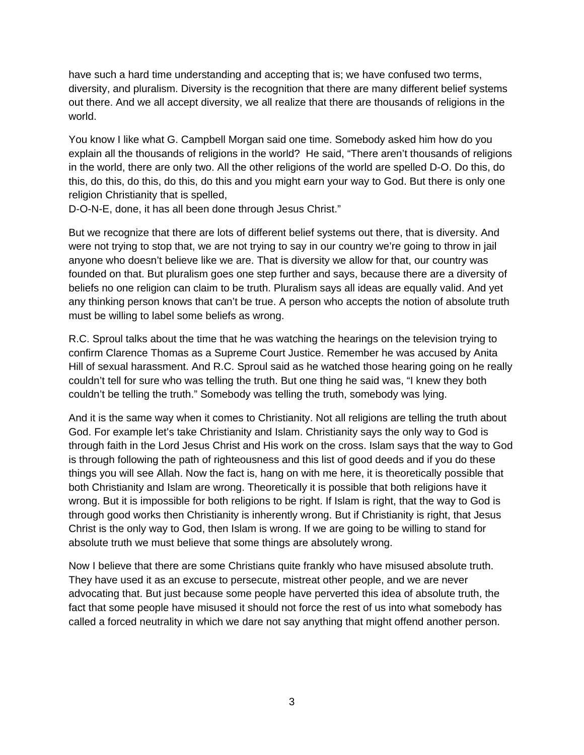have such a hard time understanding and accepting that is; we have confused two terms, diversity, and pluralism. Diversity is the recognition that there are many different belief systems out there. And we all accept diversity, we all realize that there are thousands of religions in the world.

You know I like what G. Campbell Morgan said one time. Somebody asked him how do you explain all the thousands of religions in the world? He said, "There aren't thousands of religions in the world, there are only two. All the other religions of the world are spelled D-O. Do this, do this, do this, do this, do this, do this and you might earn your way to God. But there is only one religion Christianity that is spelled,

D-O-N-E, done, it has all been done through Jesus Christ."

But we recognize that there are lots of different belief systems out there, that is diversity. And were not trying to stop that, we are not trying to say in our country we're going to throw in jail anyone who doesn't believe like we are. That is diversity we allow for that, our country was founded on that. But pluralism goes one step further and says, because there are a diversity of beliefs no one religion can claim to be truth. Pluralism says all ideas are equally valid. And yet any thinking person knows that can't be true. A person who accepts the notion of absolute truth must be willing to label some beliefs as wrong.

R.C. Sproul talks about the time that he was watching the hearings on the television trying to confirm Clarence Thomas as a Supreme Court Justice. Remember he was accused by Anita Hill of sexual harassment. And R.C. Sproul said as he watched those hearing going on he really couldn't tell for sure who was telling the truth. But one thing he said was, "I knew they both couldn't be telling the truth." Somebody was telling the truth, somebody was lying.

And it is the same way when it comes to Christianity. Not all religions are telling the truth about God. For example let's take Christianity and Islam. Christianity says the only way to God is through faith in the Lord Jesus Christ and His work on the cross. Islam says that the way to God is through following the path of righteousness and this list of good deeds and if you do these things you will see Allah. Now the fact is, hang on with me here, it is theoretically possible that both Christianity and Islam are wrong. Theoretically it is possible that both religions have it wrong. But it is impossible for both religions to be right. If Islam is right, that the way to God is through good works then Christianity is inherently wrong. But if Christianity is right, that Jesus Christ is the only way to God, then Islam is wrong. If we are going to be willing to stand for absolute truth we must believe that some things are absolutely wrong.

Now I believe that there are some Christians quite frankly who have misused absolute truth. They have used it as an excuse to persecute, mistreat other people, and we are never advocating that. But just because some people have perverted this idea of absolute truth, the fact that some people have misused it should not force the rest of us into what somebody has called a forced neutrality in which we dare not say anything that might offend another person.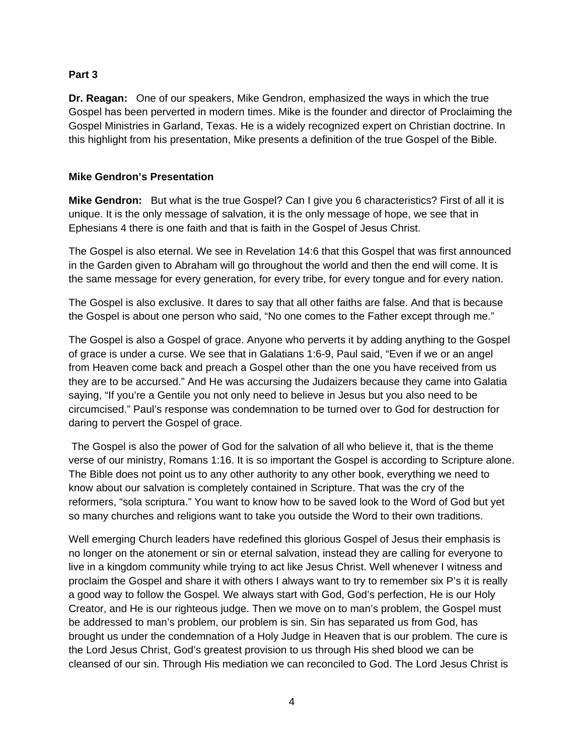#### **Part 3**

**Dr. Reagan:** One of our speakers, Mike Gendron, emphasized the ways in which the true Gospel has been perverted in modern times. Mike is the founder and director of Proclaiming the Gospel Ministries in Garland, Texas. He is a widely recognized expert on Christian doctrine. In this highlight from his presentation, Mike presents a definition of the true Gospel of the Bible.

#### **Mike Gendron's Presentation**

**Mike Gendron:** But what is the true Gospel? Can I give you 6 characteristics? First of all it is unique. It is the only message of salvation, it is the only message of hope, we see that in Ephesians 4 there is one faith and that is faith in the Gospel of Jesus Christ.

The Gospel is also eternal. We see in Revelation 14:6 that this Gospel that was first announced in the Garden given to Abraham will go throughout the world and then the end will come. It is the same message for every generation, for every tribe, for every tongue and for every nation.

The Gospel is also exclusive. It dares to say that all other faiths are false. And that is because the Gospel is about one person who said, "No one comes to the Father except through me."

The Gospel is also a Gospel of grace. Anyone who perverts it by adding anything to the Gospel of grace is under a curse. We see that in Galatians 1:6-9, Paul said, "Even if we or an angel from Heaven come back and preach a Gospel other than the one you have received from us they are to be accursed." And He was accursing the Judaizers because they came into Galatia saying, "If you're a Gentile you not only need to believe in Jesus but you also need to be circumcised." Paul's response was condemnation to be turned over to God for destruction for daring to pervert the Gospel of grace.

 The Gospel is also the power of God for the salvation of all who believe it, that is the theme verse of our ministry, Romans 1:16. It is so important the Gospel is according to Scripture alone. The Bible does not point us to any other authority to any other book, everything we need to know about our salvation is completely contained in Scripture. That was the cry of the reformers, "sola scriptura." You want to know how to be saved look to the Word of God but yet so many churches and religions want to take you outside the Word to their own traditions.

Well emerging Church leaders have redefined this glorious Gospel of Jesus their emphasis is no longer on the atonement or sin or eternal salvation, instead they are calling for everyone to live in a kingdom community while trying to act like Jesus Christ. Well whenever I witness and proclaim the Gospel and share it with others I always want to try to remember six P's it is really a good way to follow the Gospel. We always start with God, God's perfection, He is our Holy Creator, and He is our righteous judge. Then we move on to man's problem, the Gospel must be addressed to man's problem, our problem is sin. Sin has separated us from God, has brought us under the condemnation of a Holy Judge in Heaven that is our problem. The cure is the Lord Jesus Christ, God's greatest provision to us through His shed blood we can be cleansed of our sin. Through His mediation we can reconciled to God. The Lord Jesus Christ is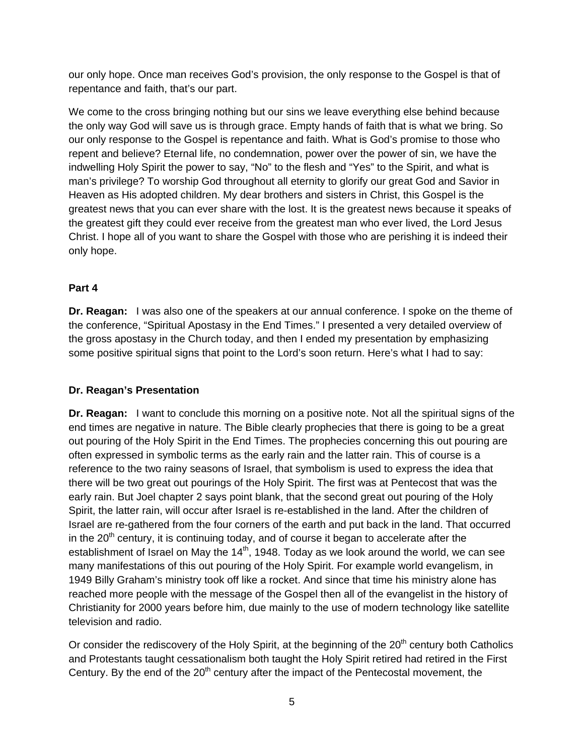our only hope. Once man receives God's provision, the only response to the Gospel is that of repentance and faith, that's our part.

We come to the cross bringing nothing but our sins we leave everything else behind because the only way God will save us is through grace. Empty hands of faith that is what we bring. So our only response to the Gospel is repentance and faith. What is God's promise to those who repent and believe? Eternal life, no condemnation, power over the power of sin, we have the indwelling Holy Spirit the power to say, "No" to the flesh and "Yes" to the Spirit, and what is man's privilege? To worship God throughout all eternity to glorify our great God and Savior in Heaven as His adopted children. My dear brothers and sisters in Christ, this Gospel is the greatest news that you can ever share with the lost. It is the greatest news because it speaks of the greatest gift they could ever receive from the greatest man who ever lived, the Lord Jesus Christ. I hope all of you want to share the Gospel with those who are perishing it is indeed their only hope.

## **Part 4**

**Dr. Reagan:** I was also one of the speakers at our annual conference. I spoke on the theme of the conference, "Spiritual Apostasy in the End Times." I presented a very detailed overview of the gross apostasy in the Church today, and then I ended my presentation by emphasizing some positive spiritual signs that point to the Lord's soon return. Here's what I had to say:

## **Dr. Reagan's Presentation**

**Dr. Reagan:** I want to conclude this morning on a positive note. Not all the spiritual signs of the end times are negative in nature. The Bible clearly prophecies that there is going to be a great out pouring of the Holy Spirit in the End Times. The prophecies concerning this out pouring are often expressed in symbolic terms as the early rain and the latter rain. This of course is a reference to the two rainy seasons of Israel, that symbolism is used to express the idea that there will be two great out pourings of the Holy Spirit. The first was at Pentecost that was the early rain. But Joel chapter 2 says point blank, that the second great out pouring of the Holy Spirit, the latter rain, will occur after Israel is re-established in the land. After the children of Israel are re-gathered from the four corners of the earth and put back in the land. That occurred in the  $20<sup>th</sup>$  century, it is continuing today, and of course it began to accelerate after the establishment of Israel on May the  $14<sup>th</sup>$ , 1948. Today as we look around the world, we can see many manifestations of this out pouring of the Holy Spirit. For example world evangelism, in 1949 Billy Graham's ministry took off like a rocket. And since that time his ministry alone has reached more people with the message of the Gospel then all of the evangelist in the history of Christianity for 2000 years before him, due mainly to the use of modern technology like satellite television and radio.

Or consider the rediscovery of the Holy Spirit, at the beginning of the 20<sup>th</sup> century both Catholics and Protestants taught cessationalism both taught the Holy Spirit retired had retired in the First Century. By the end of the  $20<sup>th</sup>$  century after the impact of the Pentecostal movement, the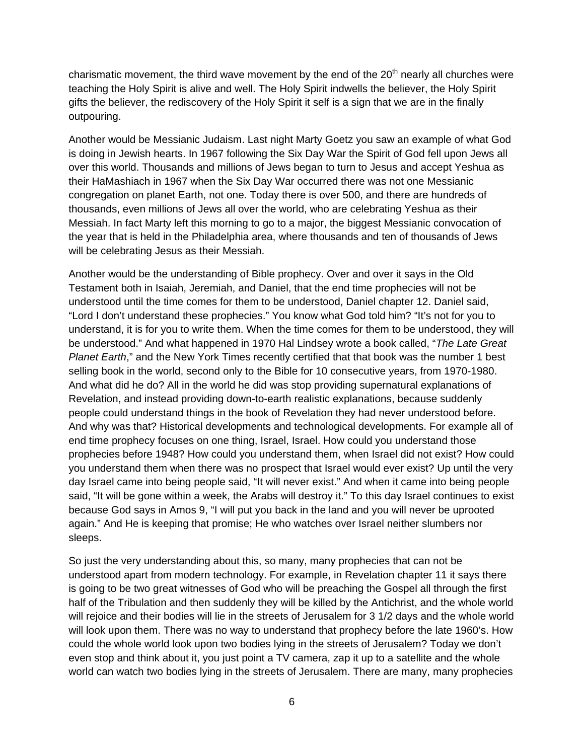charismatic movement, the third wave movement by the end of the  $20<sup>th</sup>$  nearly all churches were teaching the Holy Spirit is alive and well. The Holy Spirit indwells the believer, the Holy Spirit gifts the believer, the rediscovery of the Holy Spirit it self is a sign that we are in the finally outpouring.

Another would be Messianic Judaism. Last night Marty Goetz you saw an example of what God is doing in Jewish hearts. In 1967 following the Six Day War the Spirit of God fell upon Jews all over this world. Thousands and millions of Jews began to turn to Jesus and accept Yeshua as their HaMashiach in 1967 when the Six Day War occurred there was not one Messianic congregation on planet Earth, not one. Today there is over 500, and there are hundreds of thousands, even millions of Jews all over the world, who are celebrating Yeshua as their Messiah. In fact Marty left this morning to go to a major, the biggest Messianic convocation of the year that is held in the Philadelphia area, where thousands and ten of thousands of Jews will be celebrating Jesus as their Messiah.

Another would be the understanding of Bible prophecy. Over and over it says in the Old Testament both in Isaiah, Jeremiah, and Daniel, that the end time prophecies will not be understood until the time comes for them to be understood, Daniel chapter 12. Daniel said, "Lord I don't understand these prophecies." You know what God told him? "It's not for you to understand, it is for you to write them. When the time comes for them to be understood, they will be understood." And what happened in 1970 Hal Lindsey wrote a book called, "*The Late Great Planet Earth*," and the New York Times recently certified that that book was the number 1 best selling book in the world, second only to the Bible for 10 consecutive years, from 1970-1980. And what did he do? All in the world he did was stop providing supernatural explanations of Revelation, and instead providing down-to-earth realistic explanations, because suddenly people could understand things in the book of Revelation they had never understood before. And why was that? Historical developments and technological developments. For example all of end time prophecy focuses on one thing, Israel, Israel. How could you understand those prophecies before 1948? How could you understand them, when Israel did not exist? How could you understand them when there was no prospect that Israel would ever exist? Up until the very day Israel came into being people said, "It will never exist." And when it came into being people said, "It will be gone within a week, the Arabs will destroy it." To this day Israel continues to exist because God says in Amos 9, "I will put you back in the land and you will never be uprooted again." And He is keeping that promise; He who watches over Israel neither slumbers nor sleeps.

So just the very understanding about this, so many, many prophecies that can not be understood apart from modern technology. For example, in Revelation chapter 11 it says there is going to be two great witnesses of God who will be preaching the Gospel all through the first half of the Tribulation and then suddenly they will be killed by the Antichrist, and the whole world will rejoice and their bodies will lie in the streets of Jerusalem for 3 1/2 days and the whole world will look upon them. There was no way to understand that prophecy before the late 1960's. How could the whole world look upon two bodies lying in the streets of Jerusalem? Today we don't even stop and think about it, you just point a TV camera, zap it up to a satellite and the whole world can watch two bodies lying in the streets of Jerusalem. There are many, many prophecies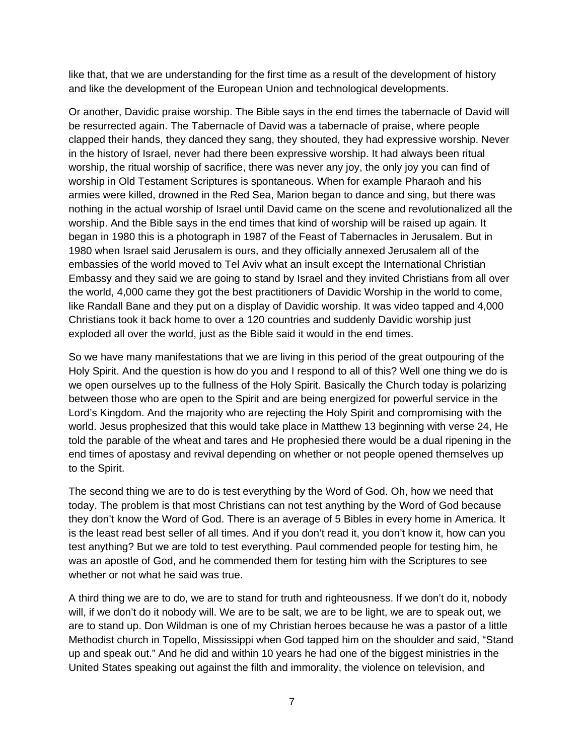like that, that we are understanding for the first time as a result of the development of history and like the development of the European Union and technological developments.

Or another, Davidic praise worship. The Bible says in the end times the tabernacle of David will be resurrected again. The Tabernacle of David was a tabernacle of praise, where people clapped their hands, they danced they sang, they shouted, they had expressive worship. Never in the history of Israel, never had there been expressive worship. It had always been ritual worship, the ritual worship of sacrifice, there was never any joy, the only joy you can find of worship in Old Testament Scriptures is spontaneous. When for example Pharaoh and his armies were killed, drowned in the Red Sea, Marion began to dance and sing, but there was nothing in the actual worship of Israel until David came on the scene and revolutionalized all the worship. And the Bible says in the end times that kind of worship will be raised up again. It began in 1980 this is a photograph in 1987 of the Feast of Tabernacles in Jerusalem. But in 1980 when Israel said Jerusalem is ours, and they officially annexed Jerusalem all of the embassies of the world moved to Tel Aviv what an insult except the International Christian Embassy and they said we are going to stand by Israel and they invited Christians from all over the world, 4,000 came they got the best practitioners of Davidic Worship in the world to come, like Randall Bane and they put on a display of Davidic worship. It was video tapped and 4,000 Christians took it back home to over a 120 countries and suddenly Davidic worship just exploded all over the world, just as the Bible said it would in the end times.

So we have many manifestations that we are living in this period of the great outpouring of the Holy Spirit. And the question is how do you and I respond to all of this? Well one thing we do is we open ourselves up to the fullness of the Holy Spirit. Basically the Church today is polarizing between those who are open to the Spirit and are being energized for powerful service in the Lord's Kingdom. And the majority who are rejecting the Holy Spirit and compromising with the world. Jesus prophesized that this would take place in Matthew 13 beginning with verse 24, He told the parable of the wheat and tares and He prophesied there would be a dual ripening in the end times of apostasy and revival depending on whether or not people opened themselves up to the Spirit.

The second thing we are to do is test everything by the Word of God. Oh, how we need that today. The problem is that most Christians can not test anything by the Word of God because they don't know the Word of God. There is an average of 5 Bibles in every home in America. It is the least read best seller of all times. And if you don't read it, you don't know it, how can you test anything? But we are told to test everything. Paul commended people for testing him, he was an apostle of God, and he commended them for testing him with the Scriptures to see whether or not what he said was true.

A third thing we are to do, we are to stand for truth and righteousness. If we don't do it, nobody will, if we don't do it nobody will. We are to be salt, we are to be light, we are to speak out, we are to stand up. Don Wildman is one of my Christian heroes because he was a pastor of a little Methodist church in Topello, Mississippi when God tapped him on the shoulder and said, "Stand up and speak out." And he did and within 10 years he had one of the biggest ministries in the United States speaking out against the filth and immorality, the violence on television, and